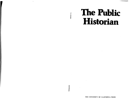# The **Public Historian**

J

 $\vert$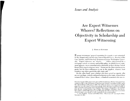### *Issues and Analysis*

## **Are Expert Witnesses Whores? Reflections on Objectivity in Scholarship and Expert Witnessing**

### **J. MORGAN KOUSSER**

**E** XPEHT WITNESSEs' general reputation for veracity is not untainted. In the elegant and tasteful expression of Harold Green, director of the Law, Science, and Technology Program at George Washington University, "Expert witnesses are whores .... " Others interviewed for a newspaper article on science and public policy, in which Green's statement appears, were somewhat more charitable in their diction, but affirmed that expert witnesses were "chosen not for their wisdom or sagacity but for their willingness to say in the simplest, clearest, least tentative way what a particular side wants said."<sup>1</sup>

On the other hand, some scholars who have served as experts, who are not, perhaps, entirely unbiased witnesses on the topic, claim to have retained their virtue. James Rosse, a Stanford economist who was re-

1. Lee Dembart, "Science and Public Policy—Who Is Served?" *Los Angeles Times,* November 9, 1981.

Previous versions of' this paper were given at the Social Science History Association Convention in 1981, at the Association of American Law Schools Convention in 1983, and at the Caltech History Colloquium in 1983. One of the special joys of writing and giving thi, paper has been the chance to learn from people whose attention I would not usually he able to demand. I particularly want to thank for their comments Brian Barry, Derrick Bell, John Benton, Armand Derfner, Jim O'Fallon, Phil Hoffman, Will Jones, Dan Kevles, Steve Morse, and Ed Still. Since it seems likely that all of them retain some reservations about the paper, none should be held responsible for its remaining flaws.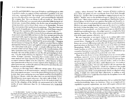portedly paid \$240,000 by American Telephone and Telegraph in 1981 to perform studies in support of that corporation's position in its antitrust case, contended that "the legal process would tear to shreds any person who altered his views for a trial," and asserted that he informed the company that "there are things I will not testify to." Dean Henry Hossovsky of Harvard, an economist who testified for IBM during its antitrust case, insisted that scholars who do this type of consulting have a strong incentive not to distort their views or to dissimulate, because they must protect their professional reputations. "They don't have any other assets of significance," Rossovsky told a *New York Times* reporter. "If you get the reputation of being a hired gun, it won't help you."<sup>2</sup>

The question of the possible tensions between advocacy and objectivity presents somewhat different facets to the three groups most directly concerned with expert witnessing: scholars, lawyers, and judges. Responding to historian Lee Benson's 1977 Social Science History Association presidential address, which had the provocative title "Changing Social Science to Change the World," political scientist Warren Miller distinguished between pure and applied science and commented that "the motivation to do good-or bad-is simply different from the motivation to find out how things work, and it is the transformation of the latter motivation into action that is science."3 For historians, more particularly, the crux of the problem is not the old epistemological chestnut, "Can the study of history he objective?" but a simpler and less absolute, if longer, question: "Assuming that it makes sense to say that some analyses are more objective than others, are historians who serve as expert witnesses likely to be less objective, either because of their own commitments or because of some aspects of the legal process, than other historians are, or than the witnesses themselves are when they are doing their normal scholarship?"

Lawyers see the topic from a different vantage point. If my experience with them is at all representative, attorneys tend to believe that their own experts are pure, even to the point of being too prissy to agree to state their own conclusions in a way which would be most helpful to the lawyers' clients-while the other side's are merely lying for money. Should lawyers treat expert witnesses-for either side or both-as analogues to celebrity endorsers of products? Is Dr. K's analysis of the reasons for the adoption of the Mobile city government act in the 1870s worthy of more deference than Dr. J's endorsement of a basketball sneaker?

Judges, whose distorted "law office" versions of history written to serve their own points of view reverberate from *Dred Scott* through *Wesberry* v. *Sanders* (the Georgia legislative reapportionment case) to *Mobile* v. *Bolden,* may see the problem of experts· objectivity in yet another guise.<sup>4</sup> Have expert witnesses, to paraphrase Chief Justice Taney's famous phrase in *Dred Scott,* any opinions that judges are bound torespect? Is the view of a credentialed historian or other social scientist entitled to any more weight than that of a man on the street or a random law clerk, or than the judge's own "common sense'"? (In two of the cases in which I've been involved-not, let it he noted, ones in which the side which I was testitfying for won-the judges' answers, as implied by their opinions, have been "Yes, if the witnesses agree with my preconceived, seat-of-the-pants opinion; otherwise, no.")

My own experience as an expert witness in six voting rights cases causes me to doubt the soundness of \Varren Miller's observation, quoted above. Changing the world and doing normal social science or history are not such different pursuits after all. Perhaps I am blinded by good intentions or the heat of battle, but it seems to me that cases from Birmingham; Mobile; Selma; Brownsville, Tennessee; and Sumter, South Carolina; as well as an appearance before a House Judiciary Subcommittee hearing on renewing the Voting Hights Act, afforded me opportunities *to tell the truth and do good at the same time*.

Those of us who desire to bring scholarship to bear on current policy problems, moreover, need no new institutional arrangement to make our advocacy more effective. Indeed, the organization of a group of progressive scholars to produce policy-relevant studies, such as Lee Ben~ son has proposed, might well reduce, rather than increase, its members ability to influence policy. 5 For not only would it call into question the scholars' *reputation* for objectivity-which my experience has taught me is a necessary condition for them to exert any influence at all-but by removing some of the usual professional checks on slipshod scholarship, it might also undermine their objectivity in *reality* as well. Changing social science might therefore leave the disciplines worse off, and the world unchanged.

Before discussing the more general question, let me explain how I got involved in testifying. Since, as a historian, I have an occupational susceptibility to genetic explanations, my story will require a detour into

<sup>2.</sup> Fox Butterfield, "Faculty Consultants: Higher Educators Getting Higher Fees," Los Angeles Herald Examiner, June 16, 1982. Since historians' fees for a case are on the order of 1 percent of Rosse's, their incentives to play paladin are considerably less.

<sup>3.</sup> Benson s address and Millers response are hoth in *Social Science History* 2 (1978), 427-48. The Miller quotation appears on p. 444.

<sup>4.</sup> See Alfred II. Kelly, "'Clio and the Court: An Illicit Love Affair," *Supreme Court Review* (1965), ll9-58; and, on *Bolden,* J. Morgan Kousser, 'The Undermining of the First Reconstruction: Lessons for the Second," in *Extension of the Voting Rights Act: Hearings Before the Subcommittee* on *the judiciary,* House *of Representatives,* 97th Congress, 1st Session (Washington: Government Printing Office, 1982), 2017-20.

<sup>5.</sup> Lee Benson, "Doing History as Moral Philosophy and Public Advocacy: A Practical Strategy to Lessen the Crisis in American llistory," paper delivered at the Organization of American Historians' Convention, April 1, 1981.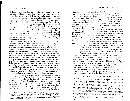#### 8 • THE PUBLIC HISTORIAN

the history of civil rights law. It may not be straining words too much to assert that the Fifteenth Amendment contains an explicit reference to intent. The right to vote, it declares, shall not be "denied or abridged <sup>011</sup>*account of* race, color, or previous condition of servitude" (emphasis added). One reading of the phrase is that any law or practice adopted with a racially discriminatory intent ("on account of race") is by that fact alone unconstitutional. Despite the fact that the Fourteenth Amendment contains no language which even this clearly refers to intent, the courts have read an intent criterion into it. In fact, they have intermingled the standards of proof and lines of cases under each of the two amendments, which would no doubt be confusing enough if separated, to such a degree that the whole area of the law has become covered with a sort of constitutional kudzu, a mass of pullulating, ever more tangled, parasitic vines which have long since grown over and hidden the original constitutional saplings.

Thus, in *Plessy* v. *Ferguson* in 1896, the Supreme Court was content to assume that racially separate railroad cars were in fact equally comfortable and convenient, while it concentrated on denying that whites who imposed segregation *intended* it to be racially discriminatory. In *Williams* v. *Mississippi* in 1898, the Court admitted that the framers of the 1890 Mississippi Constitution intended to deny blacks the right to vote, but held that since the plaintiff had not shown that their intent was carried out, he had not proved a constitutional violation. The next year, in *Cumming* v. *Richmond County,* the justices shunted aside the obvious fact that the Augusta, Georgia school board discriminated when it provided two public high schools for whites, but closed the only one it had run for blacks, and focused on what Justice John Marshall Harlan took to be the crucial question-whether the school board had behaved "reasonably," or, in other words, without an *intent* to discriminate. Presented with evidence of both intent and effect in *Giles* v. *Harris,* a 1903 voting case, that great liberal Justice Oliver Wendell Holmes threw up his hands and declared disfranchisement a "political question."<sup>6</sup>

More recent courts have hacked no clearer path through the judicial thicket of intent and effect. In *Brown* v. *Board,* the Supreme Court appears to have assumed that if the National Association for the Advancement of Colored People's (NAACP's) lawyers and expert witnesses could show that segregation had bad effects on black children, then they need not prove that school officials acted intentionally to bring about those consequences, but only that they had meant to segregate the schools, which of course all admitted. Where segregation was not formally es-

6. The citations are: Plessy, 163 U.S. 537 (1896); Williams, 170 U.S. 213 (1898); Cumming, 175 U.S. 528 (1899); Giles, 189 U.S. 475 (1903). On these cases, see J. Morgan Kousser, Undermining of the First Reconstruction," 2020-21, and "Separate But Not Equal: The Supreme Court's First Decision on Racial Discrimination in Schools,' *Journal* of *Southern History* 46 (1980), 17-44. '

tahlished, however, the focus shifted to the school hoard's actions, such moves as gerrymandering attendance zones and siting new schools only in safely segregated areas being taken as evidence of the authorities' segregative intent. Segregation because of housing patterns (patterns which were no doubt partly produced by the actions of other governmental agencies, if not by the school boards), may have been indistinguishable in its effects from so-called *de jure* segregation, but since it was allegedly not intended, it was ruled constitutional, for example, in the Detroit school case, *Milliken* v. *Bradley.'* 

That there were close parallels between the school cases and those in the voting rights and other areas is hardly surprising. Tuskegee, Alabama gerrymandered its town boundaries so blatantly as to leave no question as to its racially discriminatory intent; therefore, the Supreme Court could finesse the issue." In the initial reapportionment opinions, too, intent played little role, and attempts to achieve legislative ends which would in other cases have induced judicial obsequiousness were blithely shunted aside in the drive for a population equality effect.<sup>9</sup> Yet in the Indianapolis at-large voting case, *Whitcomb v. Chavis*, the Court ruled that evidence of a racially unequal impact, by itself, was not enough; whereas, a week later in the Jackson, Mississippi municipal swimming pool closing case, *Palmer v. Thompson*, it concluded that an overwhelming case based on intent was insufficient.<sup>10</sup>

The lines between intent and effect crossed and re-crossed in what now seems to be the leading Supreme Court case on at-large voting in multi-member districts, *White v. Regester. Since the Voting Rights Act* and the Twenty-fourth Amendment suspended literacy tests and poll taxes, at-large elections have been perhaps the major device for abridging or "diluting" minority political power. In *\\'hite,* a 1973 case from Dallas, the Supreme Court held that there is no constitutional right to proportional representation, and that at-large systems are not, *per se*, unconstitutional. They are illegal, however, if combined with other electoral devices which reduce the chanees of minorities to elect per-

7. Brown v. Board of Education, 347 U.S. 483 (1954); Milliken v. Bradley, 418 U.S. 717 (1974).

8. Gomillion v. Lightfoot, 364 U.S. 339 (1960). Justice Stevens apparently yearns for those earlier, simpler days when discrimination stood out like a crudely drawn twentyeight-sided figure. See his dissents in Mobile v. Bolden, 446 U.S. 55 (1980), and Rogers v. Lodge, 50 U.S.L.W. 5041 (U.S. July 1, 1982).

9. Baker v. Carr, 369 U.S. 186 (1962); Gray v. Sanders, 372 U.S. 368 (1963); Wesberry v. Sanders, 376 U.S. 1 (1964). In some more recent reapportionment cases, such as the 1982 Georgia Congressional redistricting case. Busbee v. Smith, 549 F. Supp. 494 (D. D.C., 1982), the question of racially discriminatory intent has received central attention. On the contradictions between the Court's stance in reapportionment and racial vote dilution cases see James U. Blacksher and Larry T. Menefee, "From Reynolds v. Sims to *City of Mobile v. Bolden: Have the White Suburbs Commandeered the Fifteenth Amend*ment?" *Hastings Law Journal* 34 (1982). 1-64.

10. Whitcomb v. Chavis, 403 U.S. 124 (1971); Palmer v. Thompson, 403 U.S. 217 (1971).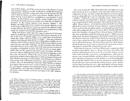sons of their choice, and if they occur in areas with a history of racial discrimination which is currently manifested in racially discriminatory slating groups, racial bloc voting, and a lack of responsiveness by officials to minority desires, or at least some of these. Further, direct evidence that the system had been established or maintained for a racial purpose, if such evidence were available, would, insofar as one can be sure of any doctrinal consistency in this area of the law, be held to be probative. In the leading Appeals Court decision, *Zimmer* v. *Mc-Keithen,* the *White* indicia were restated and refined, while in a series of mid- to late-l970s Supreme Court cases not directly related to multimember districts, the Court emphasized with increasing insistence that intent was central to all racial discrimination cases. <sup>11</sup>

*White* and *Zimmer* made clear that expert testimony by historians might be useful to paint a general picture of the history of racism, in order, at the least, to educate judges or to remind them of social facts which they might otherwise prefer to forget.<sup>12</sup> And such testimony might be determinative if the historian could produce credible circumstantial or direct evidence that the intent of the framers of laws passed some time ago, now under challenge, was discriminatory. But whereas civil rights lawyers seem to have been well connected to a network of sociologists and political scientists who did research on voting rights, neither they nor the social scientists knew many historians, and historians were almost wholly ignorant of the relevant developments in the law. I was "discovered," if that is the correct word, by Edward Still, a particularly assiduous Birmingham lawyer with a pronounced historical bent (who has since gone on to do graduate work in history as a sideline) who read my book, called and recruited me, and mentioned my name to others. Thus, by the fateful day of April22, 1980, I had been engaged as an expert witness in two cases, in one of which I was to serve mainly the "educational" purpose of recounting the history of racism in South Carolina politics, and in the other of which my role was to show the discriminatory intent behind a particular provision of the 1901 Alabama Constitution.

The event of April 22, 1980, which threw the civil rights forces into what turned out to be a productive tizzy and which made historians. temporarily at least, not only window-dressing but necessary participants in voting right cases, was the Supreme Court's decision in *Mobile* v. *Bolden.<sup>13</sup>* Writing for a four-man plurality, Justice Potter Stewart, without explicitly overruling *White v. Regester*, reinterpreted its holding as requiring proof of discriminatory intent and denied that the socalled "Zimmer factors," which had been derived chiefly from White, added up to evidence of intent. To some observers, it appeared that the Court, or at least the prevailing opinion, was demanding production of a gun still smoking after fifty years or more; that is, that plaintiffs had to prove that legislators who passed laws, often as long as a half-century ago, were actuated by racially discriminatory motives.<sup>14</sup> If this interpretation stuck, the Justice Department, the NAACP Legal Defense Fund, the Mexican-American Legal Defense Fund, the American Civil Liberties Union, and private attorneys for minority groups had little choice hut to *call in the historians*. The facts of Reconstruction, Redemption, and the Progressive Era became as relevant in the courtroom as regression analyses of racial bloc voting had been since 1973.

At the time the Supreme Court heard *Bolden* and a companion school hoard case from Mobile, *Brown v. Board*, the lawyers for neither side had done all their historical homework. They traced the at-large systems back to 1911 and 1919, respectively, and stopped there. When the Supreme Court remanded *Bolden* and *Brown* back to the federal district court, the Justice Department and the Mobile counsel who had handled the case for the NAACP-LDF, assisted by a historian located in Mobile, Peyton McCrary, discovered that the at-large features of the election systems dated not from the teens, after most blacks had been disfranchised in Alabama, but from the 1870s, when the threat of black poiit-

13. The chief danger for the 1982 renewal of the Voting Rights Act (VRA) was apathy. Since it represented a clear and present danger, and not just a potential threat to minority voting rights, particularly in the classic center of racism, the small-town South, Bolden made it much easier for the civil rights forces to work up enthusiasm for the VRA among the membership of their organizations as well as among editorial writers. Thus, Justice Stewart was for the VRA what Interior Secretary James Watt was for the Clean Air Act.

14. The Fifth Circuit Court of Appeals, in Nevett v. Sides, 571 F. 2d 209 (5th Circuit 1978) had tried, by combining some of the language and reasoning from Washington v.<br>Davis and Arlington Heights with the *Zimmer* list, to bring the two approaches into con-<br>Lawis and Arlington Heights with the *Zimmer* li formity with each other. The "Zimmer factors" could be read as indicative, if not of the motives of the framers of the law, then of those of the ethnic majority and the elite leaders who maintained the political system at the time. It now appears that Nevett was a better predictor of the Court's eventual position (in Rogers v. Lodge) than was Stewart's Bolden opinion. For a "smoking gun" reading of *Bolden*, see Aviam Soifer, "Complacency and Constitutional Law," *Ohio State Law Jou rna/* 42 (1981 ), 404.

<sup>11.</sup> White v. Hegester, 412 U.S. 755 (1973); Zimmer v. McKeithen, 485 F. 2d 1297 (1973). The other leading relevant cases were Washington v. Davis,  $426$  U.S.  $229$  (1976); Village of Arlington Heights v. Metropolitan Housing Development Corp., 97 S. Ct. 555 (1977); and Personnel Administrator of Massachusetts v. Feeney, 442 U.S. 256 (1979). The best discussion I have read on the topic is Larry C. Simon. "Haeially Prejudiced Governmental Actions: A Motivation Theory of the Constitutional Ban Against Racial Discrimination," *San Diego Law Review 15* (1978), 1041-1130.

<sup>12.</sup> That social science expert witness testimony is often used to "educate" judges is shown in Joseph Sanders *et al.*, "The Relevance of Irrelevant' Testimony: Why Lawyers Use Social Science Experts in School Desegregation Cases," Law and Society Review 16 (1981-82), 403-28.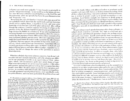ical power was much more palpable.<sup>15</sup> I was brought in principally to provide "full period coverage," as one would say in the history job market, since McCrary's scholarly research had been on the Civil War and Reconstruction, while my specialty has been the post-Reconstruction and "Progressive" eras.

Researching the cases felt familiar. I started with some general but not unshakable beliefs about how the world works and how historians should seek to explain things, a hypothesis to test, and some prior knowledge of election laws and of the place and period. After culling through the evidence, I tried to organize it to bring it to bear on the question of why the Alabama legislature passed a law providing for atlarge elections for Mobile in a certain year. It was only in preparing for and going through cross-examination and watching others be cross-examined that the question of biases different from those encountered in more traditional scholarly pursuits arose. (How *dare* opposing counsel imply that I would shade the truth to make a point for the sake of money or ideology!) But once opened, the question of objectivity would notwill not-recede entirely from my consciousness. Somewhat different research experiences in three other cases, in which I worked with and against different lawyers and before different judges, expanded my experience, but did not change the nature of the questions or answers about objectivity.

What does scholarly objectivity in history consist in, how do one's values enter into one's normal scholarship, and is the situation any different for one preparing to testify as an expert witness? First, values, ent for one preparing to testify as an expert witness? First, values, tastes, talents, and circumstances guide one's initial choice of topic. What seems interesting to one person may bore another-I like tables and equations, and narrative puts me to sleep, but I recognize that other people's views differ, though I cannot account for their egregious preferences. As a southern white liberal with a life-long interest in politics, I naturally gravitated toward political history, more specifically southern political history, and even more particularly the politics of race and

class in the South. Others with different burdens or penchants would consider such topics dull, but sex or death or women fascinating. I find all three subjects absorbing-but not to read about. Much good history, too, is written by people caught up in special circumstances or surroundings. Local history examples too numerous to detail spring to mind, but other cases would include Trevor-Roper's work on Hitler's last days, occasioned by his participation in a British intelligence task force, and C. Vann Woodward's *Battle for Leyte Gulf*, a product of his wartime Washington navy job of eonsolidating and making sense of battle re- $\mu$  ports.  $^{16}$  . The contract of the contract of the contract of the contract of the contract of the contract of the contract of the contract of the contract of the contract of the contract of the contract of the cont

The prevailing research agenda determines other choices of topics. A subject elosely related to a currently "hot" topic in a field may get a scholar a grant, and will nearly guarantee a longer vita, perhaps a prize, and maybe even tenure. Equally good work far from conventional interests will saddle one with a reputation (if any) as a person who may be "solid," hut who works on dull or strange topics, or (if one is very lucky or insightful) eventual, possibly posthumous recognition as a "pioneer." Similarly, the whims of funding agencies are not entirely irrelevant to the activities of academics or at least to the packaging of those endeavors. It was no coincidence that when the Nixon administration began pouring money into the National Cancer Institute, cancer research became a growth area in biology. As all these examples show, value-laden or self-interested reasons for choosing research topics are so omnipresent that it is difficult to imagine someone who could not be faulted for having a bias in choice of topics. Indeed, it is hard to understand what it would mean to say that someone had chosen his topic "objectively." As a consequence, any charge on this ground of a lack of objectivity for a historian doing legal casework must he *nol-prossed.* 

A second consideration related to objectivity is in the assumptions a historian or anv other social scientist makes and in the ways in which he or she formulates the chief questions. Here, I must confess to bias. I believe in making assumptions, reasoning processes, and conclusions as clear and explicit as possible. Some historians practice and even preach obfuscation for art's sake, and many social scientists purvey muddledness in the name of science. I intend otherwise, even if I do not always attain the desired result.<sup>17</sup> Furthermore, I am an unabashed Occamite

<sup>15.</sup> The opinion on remand is Bolden v. City of Mobile, 542 F. Supp. 1050 (S.D. Alabama 1982). In his first *Bolden opinion* (Bolden v. City of Mobile, 423 F. Supp. 384, 397 (S.D. Ala. 1976)), Federal District Court Judge Virgil Pittman, who decided in favor of the black plaintiffs, characterized the situation after passage of the Alabama Constitution as "race-proof," by which he meant that race could not have been a motive for legislative action in 1911 because most blacks were disfranchised then. In the remand, the plaintiffs produced evidence, put together primarily by McCrary, which showed that enough blacks were registered to vote in the years following 1908 in Mobile to pose a threat to carry or seriously influence at least one ward, had a ward system been adopted. Even if this had not been so, however, the "race-proof situation" argument has always struck me as curious. If blacks were excluded for reasons of race from participating in a decision which even eventually affected them, why wasn't the process itself so tainted that the system should be thrown out? If it be feared that this would result in the overturning of all laws passed during the whole period, the answer is that those which have no present discriminatory effect are therefore not unconstitutional.

<sup>16.</sup> Hugh R. Trevor-Roper, *The Last Days of Hitler* (London: Macmillan and Company, 1947); C. Vann Woodward, The Battle for Leyte Gulf (New York: Macmillan and

Company, 1947).<br>17. Caltech colleagues have pointed out to me that this set of beliefs may partially account for my being chosen as an expert witness, that if I were less inclined to generalize and to state conclusions baldly, or, conversely, felt less compelled to spell out the steps in my arguments, lawyers would not have chosen me. This observation does not, however. reflect adversely on the case for comparative objectivity in expert witnessing. It merely suggests that the decision rule for lawyers choosing experts should be to pick those experts who, in their scholarly work, openly state their results and the process by which they arrived at them. It implies nothing about the further remark, quoted at the beginning of this paper, about choosing witnesses who will say "what a partieular side wants said.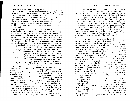(that is, I have a strong preference for parsimonious explanations); a confirmed believer in rational, maximizing behavior, especially by those calculating persons, politicians; and a person with very low Bayesian priors about unintended consequences. If I find blacks-or poor whites-shut out of politics, I immediately suspect that it didn't just happen to turn out that way, and I have faith that if I find the means employed and the wills involved in perpetrating the causal act or acts, the protagonists and their weapons in one geographical area will closely resemble those in other places, and the basic reasons for their activities will be simple.

Yet in speaking of this as a "bias," I mean "predisposition" or "proclivity" rather than "unalterable presupposition." All scholars begin with some proclivities such as these, and nearly all scholars alter their predispositions little by little as they accumulate more experience. Some, either as neophytes or at some stage in their lives before (or after) senility, prefer complexity, assume irrationality, and deny intent aprioristically. It is to be hoped, however, that both forest people and trees people, while they might be attracted to different facets of the scenery, would at least be able to agree roughly on what trail to follow through a particular wood. Less metaphorically, a modeler might admit the inadequacies of his schema in representing a certain situation, while a person of idiographic propensity might agree that uncomplicated explanations are sometimes correct. In any event, differences in such assumptions color scholarly and contracted work equally. If I sin, it is in monographs as well as in testimony. Yet since one inevitably must make some such leaps of faith, since one cannot escape these fundamental epistemological issues even by ignoring them, making them cannot rob one of objectivity unless objectivity is never possible. The directed verdict on count two must therefore be acquittal.

Third, did the procedure for examining evidence, which admittedly differs from that I would normally adopt, bias my conclusions, therefore robbing the project of objectivity? Generally, after deciding what to study, picking out, in a preliminary fashion at least, what principal questions to ask, and ransacking the secondary literature, I would go through as many primary documents as are available-newspapers, manuscripts (if any), official documents, voting returns. This procedure reflects a professional tradition in history which stretches back at least to the establishment of the first American graduate programs a hundred years ago. The image of the lonely scholar, or perhaps, to modernize it a bit, of the lonely research team, seeking truth by applying their open but careful minds to the appropriate evidence, is pervasive among social scientists and humanists. Scholars may make mistakes, study uninterestmg topics, fail to express themselves well, or even reflect unconsciously the popular world view or disciplinary paradigm dominant at the time

thev're working, but they don't, in this standard stereotype, purposely distort. Truth is produced by what might be called a "linear" process.

In the adversary tradition, on the other hand, truth is assumed to emerge, if at all, as part of a dialectical process. The lawyer's ideal world is, in this respect, rather like Adam Smith's: when every lawyer seeks simultaneously to maximize the chances of his or her own client, assuming that each abides by some fundamental rules of fairness, an Invisible Hand guides the process toward the maximum production of truth. Lawyers are supposed to be advocates, to represent their clients. They are not to pursue some abstract "truth" or "social good," but only the very relative interests of the people who hire their services. Graduate schools and law schools may often cohabit on the same campus, but in their self-conceptions, they have long since divorced. This separation breeds deep suspicion on each side of the other's pretensions and processes.

Despite suspicions, I have had to accept the fact that in the cases I have worked on, others-the Justice Department, the LDF or other lawyers for the plaintiffs, and the lawyers and experts for the localities whose electoral systems arc being challenged-perform most of the culling of primary sources. I read what they send me and what I specificallv ask for. This would worry me more if the documents were secret or private, or if the lawyers with whom I've worked denied requests for papers or documents I asked thent to look for, or if the lawyers on each side didn't have a strong interest in confronting the court with all the evidence which could possibly buttress their positions. In fact, none of the material is private; and every request I've made for informationand I've been bothersome, in order to insure that I look at everything which might be relevant---has been complied with. Moreover, it appears to be in the nature of research for such litigation that the lawyers (exactly like scholars in this respect) don't know just how to put together the facts or which facts will turn out to be of relevance until very close to the last moment. They do the research when they can, drib and drab it out to prospective experts, put it all together the last night. Thus, time pressures and lack of complete foresight guard against their stacking any but the most obvious evidence. .

Only two things about the process are bothersome. In the first place, even if the adversary process leads to truth, it's less likely to if the legal talent on each side is unequal. And I'm afraid that the acumen of counsel on the side of those charging discrimination has almost always been superior, in the cases I've been in, to that of the defenders of at-large voting. In other words, I can't he sure that the other side would rccogmze evidence for their cases if it jumped off the page at them. In the second place, despite the extensive discovery procedures which drag out modern litigation, lawyers have a gaming tendency which leads them to hold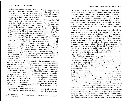back evidence until cross-examination. And there is a natural contrary tendency for a witness to stick to his guns when challenged, to consider cross-questioning a combat, and therefore to disregard evidence offered at this time against his case. No one wants to look foolish or contradictory, or to conclude that he wasted his time.

These doubts are connected with a fourth consideration, that of advocacy. Does the fact that one is making a case, is part of a team with a particular value-laden objective, by itself undermine the usual standards of scholarly objectivity? In all but one respect, I think it doesn't. After all, scholars do get committed to particular arguments-the Civil War was or was not irrepressible, the living standard of the working class in England rose or fell in the nineteenth century, the American Revolution was primarily an intellectual or alternatively a social movementand they rarely change their minds. (One might note, parenthetically, that the same state of aflairs characterizes the physical sciences, for as Thomas Kuhn has pointed out, defenders of old paradigms rarely switch, they just retire.)<sup>18</sup> Nonetheless, scholars sometimes modify their stands, particularly on relatively minor points. They circulate papers and accept criticisms, alter some treatments in subsequent editions of books, at times even confess error. The trouble with a trial is that it's a one-shot aflair, that one goes from expression to publication without circulation, copy editing, or galley proofs. Since one can hardly call up the judge six months later and say "I've changed my mind; I was wrong," the process of lengthy contemplation of one's interpretation, a usual part of scholarship, is necessarily private and naturally truncated for an expert witness.

A fifth point follows closely in train. It is the core of the objectivity question. Did one pick only those pieces of evidence which fit one's case, and did one twist the story to bypass evidence which could not be ignored? Here, the adversary process seems to provide a safeguard at least equal to those in academia. To most judges, the most credible expert witnesses are persons who have published fairly widely on the topic or on kindred ones. To most lawyers, risk-averse souls who prefer not to be surprised during trials, the best witnesses are experienced ones. Since books, articles, and previous testimony, affidavits, and depositions are matters of public record, an expert who takes contradictory positions on two similar pieces of evidence or similar positions on two contradictory pieces of evidence is placing his reputation at risk in a bet not only on the stupidity of opposing counsel in the instant case, but in every other case to come.

Furthermore, it is somewhat easier, indeed, it is unavoidable in witnessing, to make oneself conscious of contrary cases. Even if the other

side's barristers are inferior, at least in this rather specialized area of the law, one always overprepares for cross-examination, and one is pressed in the moot court tradition by one's own side. No doubt lawyers might pull their punches to avoid unsettling their own witnesses, but that's a dangerous course, because the witness might sense duplicity or the contending lawyers might pull offlucky shots. Moreover, the witness, more frightened of a courtroom than the lawyers are, naturally tries to think of every possible question. The whole process, therefore, encourages the questioning and testing of interpretations much more than do normal scholarly procedures.

The sixth and final question breaks the analogy with regular scholarship, and rests on a counterfactual thought experiment. If I were testifying for the other side, would my conclusions differ? I feel certain that, at least in the cases in which I have been involved, they would not: I would find evidence of an intent to discriminate in the passage or mamtenance of the system. I also recognize that if my analysis did vary depending on whom I was working with, my days as a credible expert witness would be over. I even half wish that some local government would retain me-they seem to pay better than the LDF or Legal Services or even the Justice Department, and it would be satisfying to take their money and then upset their case. Still, one aspect of the question bothers me: assuming that if I did appear I would speak truthfully and tully, *would* I testify for the other side?

The difficulty is that expert witnesses generally do more than testify. Unless they are brought in at the very last moment or are working with extremely overbearing, absurdly self-confident lawyers, witnesses usually have some role in organizing cases and especially in planning researeh on the facts. For if they do not understand their ease, they cannot know what is relevant, and if they don't assist in and partly direct the gathering of the facts, they cannot be sure they have seen all the important evidence. Even if, as "educational" witnesses, experts are chiefly used to report on the state of research in some academic field, they will have to know enough to know when to stop talking-a difficult thing for professors in the best of circumstances-and they will probably be asked for advice on other aspects of the case, on other witnesses' reputations, on how to rebut their testimony, and so on. Expert witnesses do not merely' give opinions; they join a company.

Since, as a person, I believe strongly in racial equality, and since, as a social scientist, I find the empirical and theoretical evidence of the racially discriminatory impact of at-large systems overwhelming, could I work with lawyers who were attempting to preserve an at-large system in a jurisdiction which included a large and geographically separate minority group? (Other, analogous questions would occur to other potential expert witnesses or to me in other contexts.) Should the answer depend on the degree of oppression in each individual case, and how can

<sup>18.</sup> Thomas Kuhn, *The Structure of Scientific Revolutions* (Chicago: University of Chicago Press, 1970).